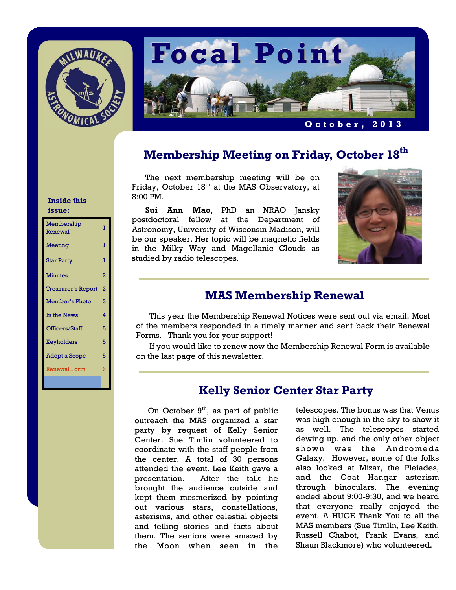



# **Membership Meeting on Friday, October 18th**

The next membership meeting will be on Friday, October  $18<sup>th</sup>$  at the MAS Observatory, at 8:00 PM.

**Sui Ann Mao**, PhD an NRAO Jansky postdoctoral fellow at the Department of Astronomy, University of Wisconsin Madison, will be our speaker. Her topic will be magnetic fields in the Milky Way and Magellanic Clouds as studied by radio telescopes.



### **MAS Membership Renewal**

This year the Membership Renewal Notices were sent out via email. Most of the members responded in a timely manner and sent back their Renewal Forms. Thank you for your support!

 If you would like to renew now the Membership Renewal Form is available on the last page of this newsletter.

## **Kelly Senior Center Star Party**

On October  $9<sup>th</sup>$ , as part of public outreach the MAS organized a star party by request of Kelly Senior Center. Sue Timlin volunteered to coordinate with the staff people from the center. A total of 30 persons attended the event. Lee Keith gave a presentation. After the talk he brought the audience outside and kept them mesmerized by pointing out various stars, constellations, asterisms, and other celestial objects and telling stories and facts about them. The seniors were amazed by the Moon when seen in the

telescopes. The bonus was that Venus was high enough in the sky to show it as well. The telescopes started dewing up, and the only other object shown was the Andromeda Galaxy. However, some of the folks also looked at Mizar, the Pleiades, and the Coat Hangar asterism through binoculars. The evening ended about 9:00-9:30, and we heard that everyone really enjoyed the event. A HUGE Thank You to all the MAS members (Sue Timlin, Lee Keith, Russell Chabot, Frank Evans, and Shaun Blackmore) who volunteered.

#### **Inside this issue:**

| Membership<br>Renewal     | ı              |
|---------------------------|----------------|
| <b>Meeting</b>            | ı              |
| <b>Star Party</b>         | ı              |
| <b>Minutes</b>            | 2              |
| <b>Treasurer's Report</b> | $\overline{2}$ |
| <b>Member's Photo</b>     | 3              |
| In the News               | 4              |
| Officers/Staff            | 5              |
| <b>Keyholders</b>         | 5              |
| <b>Adopt a Scope</b>      | 5              |
| <b>Renewal Form</b>       | 6              |
|                           |                |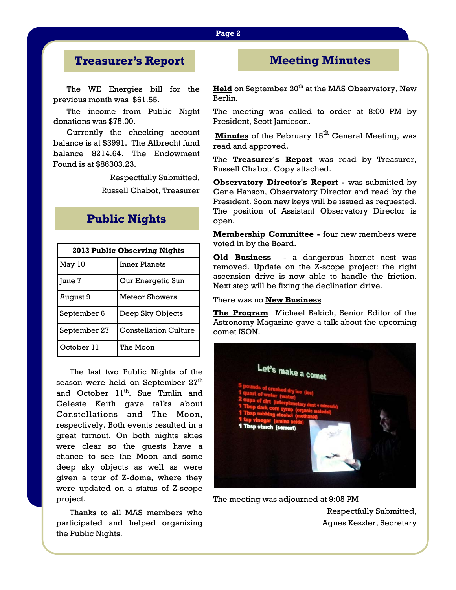#### **Page 2**

## **Treasurer's Report**

The WE Energies bill for the previous month was \$61.55.

 The income from Public Night donations was \$75.00.

 Currently the checking account balance is at \$3991. The Albrecht fund balance 8214.64. The Endowment Found is at \$86303.23.

**Public Nights** 

Respectfully Submitted,

Russell Chabot, Treasurer

| <b>2013 Public Observing Nights</b> |                              |  |
|-------------------------------------|------------------------------|--|
| May 10                              | <b>Inner Planets</b>         |  |
| June 7                              | Our Energetic Sun            |  |
| August 9                            | <b>Meteor Showers</b>        |  |
| September 6                         | Deep Sky Objects             |  |
| September 27                        | <b>Constellation Culture</b> |  |
| October 11                          | The Moon                     |  |

The last two Public Nights of the season were held on September  $27<sup>th</sup>$ and October 11<sup>th</sup>. Sue Timlin and Celeste Keith gave talks about Constellations and The Moon, respectively. Both events resulted in a great turnout. On both nights skies were clear so the guests have a chance to see the Moon and some deep sky objects as well as were given a tour of Z-dome, where they were updated on a status of Z-scope project.

 Thanks to all MAS members who participated and helped organizing the Public Nights.

## **Meeting Minutes**

**Held** on September 20<sup>th</sup> at the MAS Observatory, New Berlin.

The meeting was called to order at 8:00 PM by President, Scott Jamieson.

**Minutes** of the February 15<sup>th</sup> General Meeting, was read and approved.

The **Treasurer's Report** was read by Treasurer, Russell Chabot. Copy attached.

**Observatory Director's Report - was submitted by** Gene Hanson, Observatory Director and read by the President. Soon new keys will be issued as requested. The position of Assistant Observatory Director is open.

**Membership Committee -** four new members were voted in by the Board.

**Old Business** - a dangerous hornet nest was removed. Update on the Z-scope project: the right ascension drive is now able to handle the friction. Next step will be fixing the declination drive.

#### There was no **New Business**

**The Program** Michael Bakich, Senior Editor of the Astronomy Magazine gave a talk about the upcoming comet ISON.



The meeting was adjourned at 9:05 PM

Respectfully Submitted, Agnes Keszler, Secretary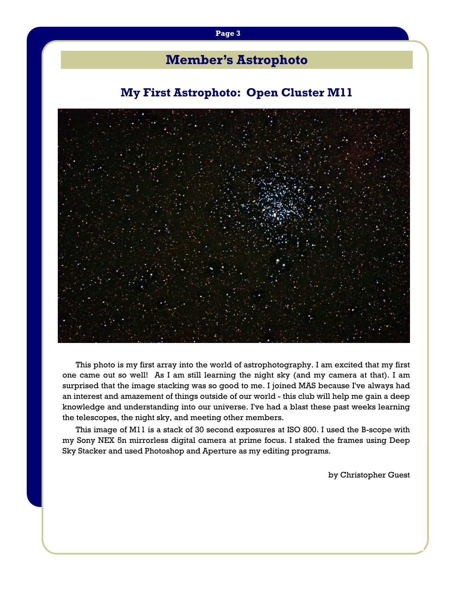# **Member's Astrophoto**

## **My First Astrophoto: Open Cluster M11**



This photo is my first array into the world of astrophotography. I am excited that my first one came out so well! As I am still learning the night sky (and my camera at that). I am surprised that the image stacking was so good to me. I joined MAS because I've always had an interest and amazement of things outside of our world - this club will help me gain a deep knowledge and understanding into our universe. I've had a blast these past weeks learning the telescopes, the night sky, and meeting other members.

 This image of M11 is a stack of 30 second exposures at ISO 800. I used the B-scope with my Sony NEX 5n mirrorless digital camera at prime focus. I staked the frames using Deep Sky Stacker and used Photoshop and Aperture as my editing programs.

by Christopher Guest

#### **Page 3**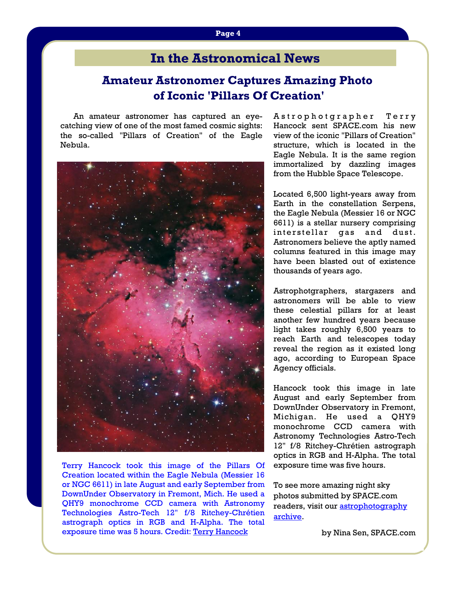# **In the Astronomical News**

## **Amateur Astronomer Captures Amazing Photo of Iconic 'Pillars Of Creation'**

An amateur astronomer has captured an eyecatching view of one of the most famed cosmic sights: the so-called "Pillars of Creation" of the Eagle Nebula.



Terry Hancock took this image of the Pillars Of Creation located within the Eagle Nebula (Messier 16 or NGC 6611) in late August and early September from DownUnder Observatory in Fremont, Mich. He used a QHY9 monochrome CCD camera with Astronomy Technologies Astro-Tech 12" f/8 Ritchey-Chrétien astrograph optics in RGB and H-Alpha. The total exposure time was 5 hours. Credit: Terry Hancock

A strophotgrapher Terry Hancock sent SPACE.com his new view of the iconic "Pillars of Creation" structure, which is located in the Eagle Nebula. It is the same region immortalized by dazzling images from the Hubble Space Telescope.

Located 6,500 light-years away from Earth in the constellation Serpens, the Eagle Nebula (Messier 16 or NGC 6611) is a stellar nursery comprising interstellar gas and dust. Astronomers believe the aptly named columns featured in this image may have been blasted out of existence thousands of years ago.

Astrophotgraphers, stargazers and astronomers will be able to view these celestial pillars for at least another few hundred years because light takes roughly 6,500 years to reach Earth and telescopes today reveal the region as it existed long ago, according to European Space Agency officials.

Hancock took this image in late August and early September from DownUnder Observatory in Fremont, Michigan. He used a QHY9 monochrome CCD camera with Astronomy Technologies Astro-Tech 12" f/8 Ritchey-Chrétien astrograph optics in RGB and H-Alpha. The total exposure time was five hours.

To see more amazing night sky photos submitted by SPACE.com readers, visit our astrophotography archive.

by Nina Sen, SPACE.com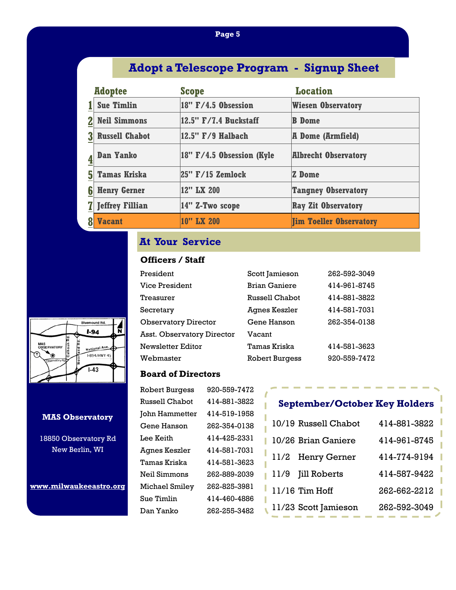### **Page 5**

# **Adopt a Telescope Program - Signup Sheet**

|   | <b>Adoptee</b>         | <b>Scope</b>                  | <b>Location</b>                |
|---|------------------------|-------------------------------|--------------------------------|
|   | <b>Sue Timlin</b>      | $18"$ F/4.5 Obsession         | <b>Wiesen Observatory</b>      |
|   | <b>Neil Simmons</b>    | 12.5" F/7.4 Buckstaff         | <b>B</b> Dome                  |
|   | <b>Russell Chabot</b>  | $ 12.5"$ $F/9$ Halbach        | <b>A Dome (Armfield)</b>       |
|   | <b>Dan Yanko</b>       | $ 18"$ F/4.5 Obsession (Kyle) | <b>Albrecht Observatory</b>    |
| 5 | <b>Tamas Kriska</b>    | $ 25"$ F/15 Zemlock           | <b>Z</b> Dome                  |
| 6 | <b>Henry Gerner</b>    | 12" LX 200                    | <b>Tangney Observatory</b>     |
|   | <b>Jeffrey Fillian</b> | $ 14"$ Z-Two scope            | <b>Ray Zit Observatory</b>     |
|   | <b>Vacant</b>          | 10" LX 200                    | <b>Jim Toeller Observatory</b> |

## **At Your Service**

### **Officers / Staff**

| President                   | Scott Jamieson        | 262-592-3049 |
|-----------------------------|-----------------------|--------------|
| Vice President              | <b>Brian Ganiere</b>  | 414-961-8745 |
| Treasurer                   | Russell Chabot        | 414-881-3822 |
| Secretary                   | Agnes Keszler         | 414-581-7031 |
| <b>Observatory Director</b> | Gene Hanson           | 262-354-0138 |
| Asst. Observatory Director  | Vacant                |              |
| Newsletter Editor           | Tamas Kriska          | 414-581-3623 |
| Webmaster                   | <b>Robert Burgess</b> | 920-559-7472 |

### **Board of Directors**

| <b>Robert Burgess</b> | 920-559-7472 |
|-----------------------|--------------|
| <b>Russell Chabot</b> | 414-881-3822 |
| John Hammetter        | 414-519-1958 |
| Gene Hanson           | 262-354-0138 |
| Lee Keith             | 414-425-2331 |
| Agnes Keszler         | 414-581-7031 |
| Tamas Kriska          | 414-581-3623 |
| Neil Simmons          | 262-889-2039 |
| Michael Smiley        | 262-825-3981 |
| Sue Timlin            | 414-460-4886 |
| Dan Yanko             | 262-255-3482 |
|                       |              |

## **September/October Key Holders**

| 414-881-3822<br>10/19 Russell Chabot |  |
|--------------------------------------|--|
| 10/26 Brian Ganiere<br>414-961-8745  |  |
| 11/2 Henry Gerner<br>414-774-9194    |  |
| Jill Roberts<br>414-587-9422<br>11/9 |  |
| $11/16$ Tim Hoff<br>262-662-2212     |  |
| 11/23 Scott Jamieson<br>262-592-3049 |  |



#### **MAS Observatory**

18850 Observatory Rd New Berlin, WI

**www.milwaukeeastro.org**